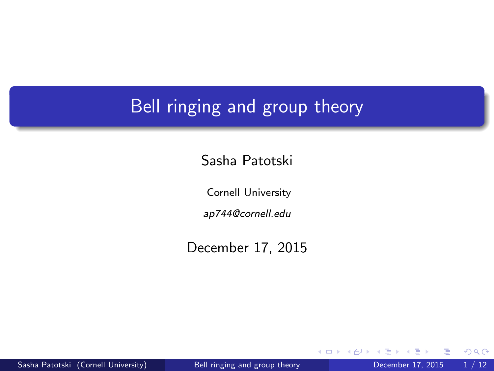## <span id="page-0-0"></span>Bell ringing and group theory

Sasha Patotski

Cornell University

ap744@cornell.edu

December 17, 2015

4 0 8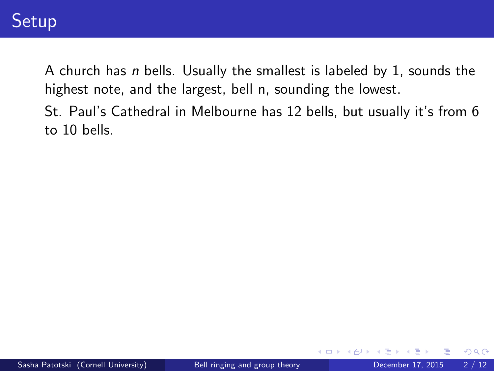St. Paul's Cathedral in Melbourne has 12 bells, but usually it's from 6 to 10 bells.

4 0 8

 $QQQ$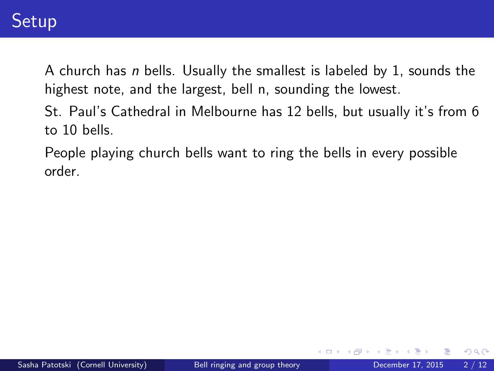St. Paul's Cathedral in Melbourne has 12 bells, but usually it's from 6 to 10 bells.

People playing church bells want to ring the bells in every possible order.

4 D F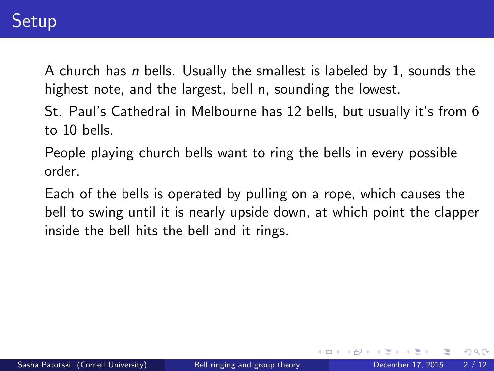St. Paul's Cathedral in Melbourne has 12 bells, but usually it's from 6 to 10 bells.

People playing church bells want to ring the bells in every possible order.

Each of the bells is operated by pulling on a rope, which causes the bell to swing until it is nearly upside down, at which point the clapper inside the bell hits the bell and it rings.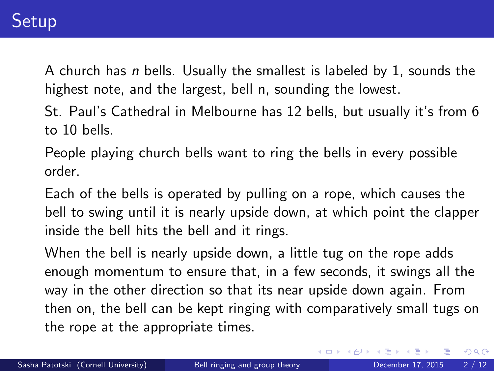St. Paul's Cathedral in Melbourne has 12 bells, but usually it's from 6 to 10 bells.

People playing church bells want to ring the bells in every possible order.

Each of the bells is operated by pulling on a rope, which causes the bell to swing until it is nearly upside down, at which point the clapper inside the bell hits the bell and it rings.

When the bell is nearly upside down, a little tug on the rope adds enough momentum to ensure that, in a few seconds, it swings all the way in the other direction so that its near upside down again. From then on, the bell can be kept ringing with comparatively small tugs on the rope at the appropriate times.

イロメ イ母メ イヨメ イヨ

 $QQ$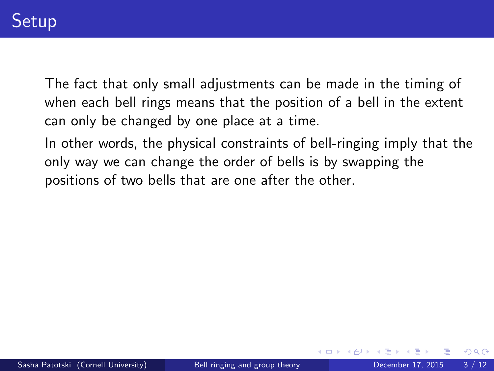The fact that only small adjustments can be made in the timing of when each bell rings means that the position of a bell in the extent can only be changed by one place at a time.

In other words, the physical constraints of bell-ringing imply that the only way we can change the order of bells is by swapping the positions of two bells that are one after the other.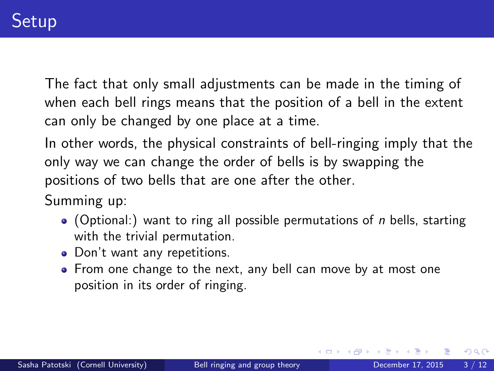The fact that only small adjustments can be made in the timing of when each bell rings means that the position of a bell in the extent can only be changed by one place at a time.

In other words, the physical constraints of bell-ringing imply that the only way we can change the order of bells is by swapping the positions of two bells that are one after the other.

Summing up:

- $\bullet$  (Optional:) want to ring all possible permutations of *n* bells, starting with the trivial permutation.
- Don't want any repetitions.
- From one change to the next, any bell can move by at most one position in its order of ringing.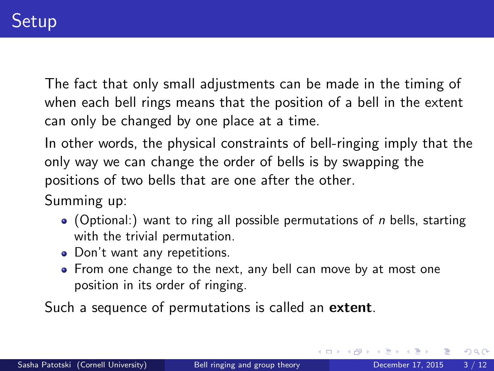The fact that only small adjustments can be made in the timing of when each bell rings means that the position of a bell in the extent can only be changed by one place at a time.

In other words, the physical constraints of bell-ringing imply that the only way we can change the order of bells is by swapping the positions of two bells that are one after the other.

Summing up:

- $\bullet$  (Optional:) want to ring all possible permutations of *n* bells, starting with the trivial permutation.
- Don't want any repetitions.
- From one change to the next, any bell can move by at most one position in its order of ringing.

Such a sequence of permutations is called an extent.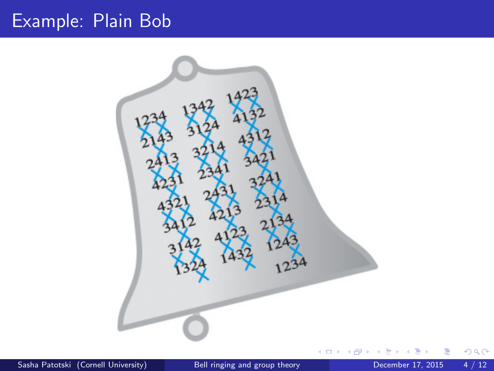# Example: Plain Bob



Sasha Patotski (Cornell University) [Bell ringing and group theory](#page-0-0) December 17, 2015 4 / 12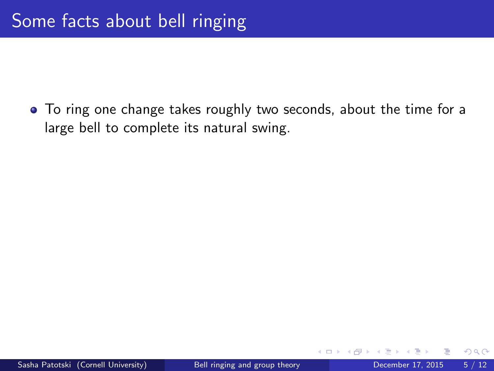To ring one change takes roughly two seconds, about the time for a large bell to complete its natural swing.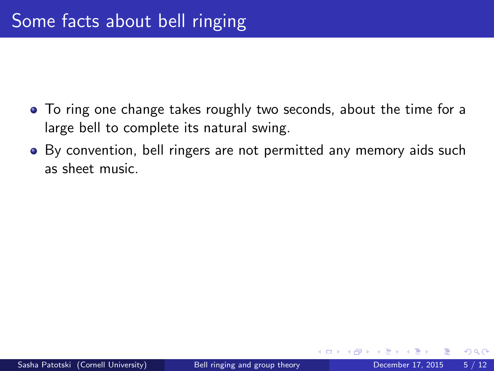- To ring one change takes roughly two seconds, about the time for a large bell to complete its natural swing.
- By convention, bell ringers are not permitted any memory aids such as sheet music.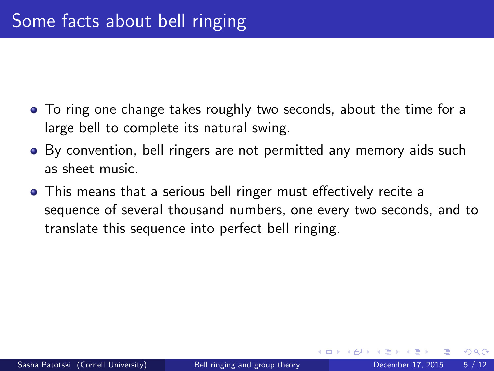- To ring one change takes roughly two seconds, about the time for a large bell to complete its natural swing.
- By convention, bell ringers are not permitted any memory aids such as sheet music.
- This means that a serious bell ringer must effectively recite a sequence of several thousand numbers, one every two seconds, and to translate this sequence into perfect bell ringing.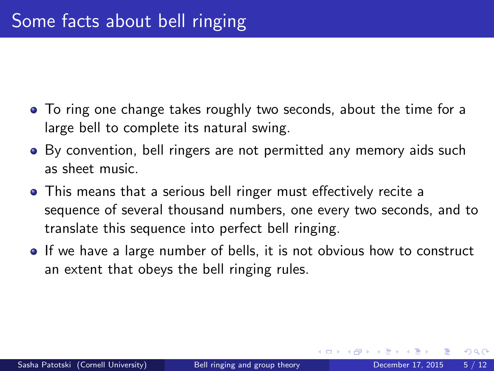- To ring one change takes roughly two seconds, about the time for a large bell to complete its natural swing.
- By convention, bell ringers are not permitted any memory aids such as sheet music.
- This means that a serious bell ringer must effectively recite a sequence of several thousand numbers, one every two seconds, and to translate this sequence into perfect bell ringing.
- If we have a large number of bells, it is not obvious how to construct an extent that obeys the bell ringing rules.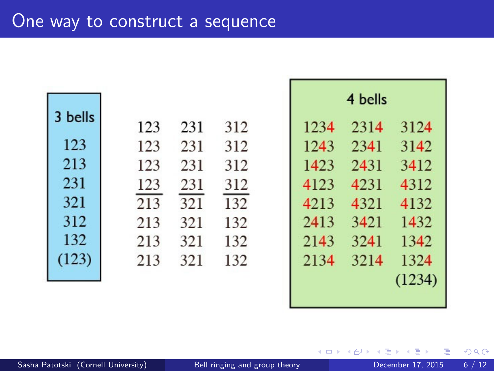| 3 bells | 123 | 231 | 312 |  |
|---------|-----|-----|-----|--|
| 123     | 123 | 231 | 312 |  |
| 213     |     |     |     |  |
|         | 123 | 231 | 312 |  |
| 231     | 123 | 231 | 312 |  |
| 321     | 213 | 321 | 132 |  |
| 312     | 213 | 321 | 132 |  |
| 132     | 213 | 321 | 132 |  |
| (123)   | 213 | 321 | 132 |  |
|         |     |     |     |  |

| 4 bells |      |        |  |  |  |
|---------|------|--------|--|--|--|
| 1234    | 2314 | 3124   |  |  |  |
| 1243    | 2341 | 3142   |  |  |  |
| 1423    | 2431 | 3412   |  |  |  |
| 4123    | 4231 | 4312   |  |  |  |
| 4213    | 4321 | 4132   |  |  |  |
| 2413    | 3421 | 1432.  |  |  |  |
| 2143    | 3241 | 1342   |  |  |  |
| 2134    | 3214 | 1324   |  |  |  |
|         |      | (1234) |  |  |  |

 $\leftarrow$ 

Þ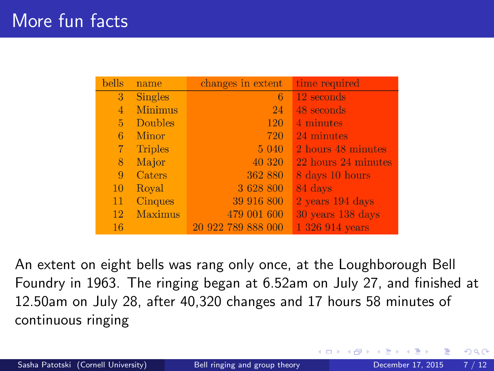| <b>bells</b>   | name           | changes in extent  | time required       |
|----------------|----------------|--------------------|---------------------|
| 3 <sup>2</sup> | Singles        | -6                 | 12 seconds          |
| 4              | <b>Minimus</b> | 24                 | 48 seconds          |
| $\overline{5}$ | Doubles        | 120                | 4 minutes           |
| 6              | Minor          | 720                | 24 minutes          |
| $\overline{7}$ | Triples        | 5 040              | 2 hours 48 minutes  |
| 8              | Major          | 40 320             | 22 hours 24 minutes |
| 9              | Caters         | 362 880            | 8 days 10 hours     |
| 10             | Royal          | 3 628 800          | 84 days             |
| 11             | <b>Cinques</b> | 39 916 800         | 2 years 194 days    |
| 12             | Maximus        | 479 001 600        | 30 years 138 days   |
| 16             |                | 20 922 789 888 000 | 1 326 914 years     |

An extent on eight bells was rang only once, at the Loughborough Bell Foundry in 1963. The ringing began at 6.52am on July 27, and finished at 12.50am on July 28, after 40,320 changes and 17 hours 58 minutes of continuous ringing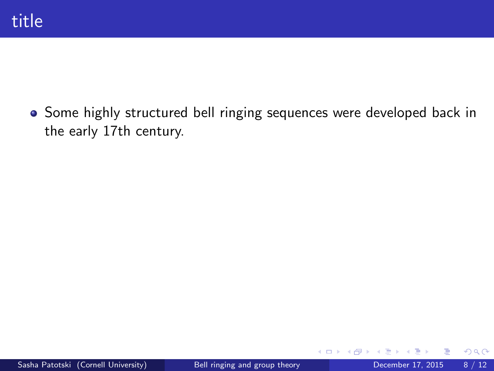Some highly structured bell ringing sequences were developed back in the early 17th century.

4 0 8

 $\rightarrow$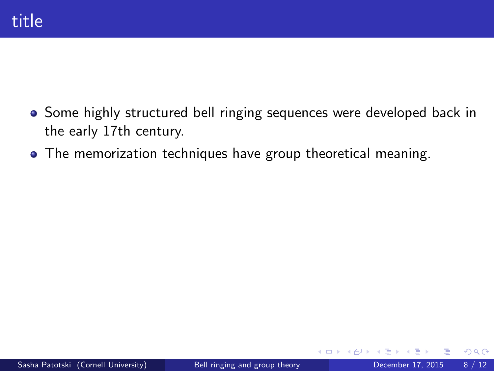- **•** Some highly structured bell ringing sequences were developed back in the early 17th century.
- The memorization techniques have group theoretical meaning.

**∢ ⊡**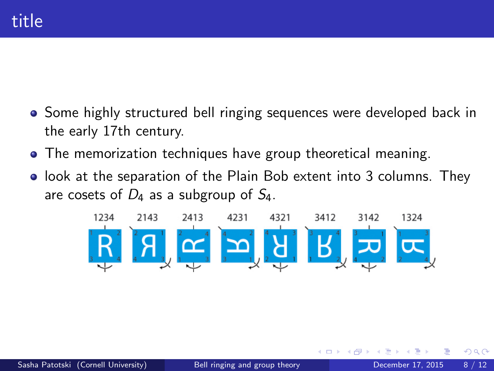- Some highly structured bell ringing sequences were developed back in the early 17th century.
- The memorization techniques have group theoretical meaning.
- look at the separation of the Plain Bob extent into 3 columns. They are cosets of  $D_4$  as a subgroup of  $S_4$ .

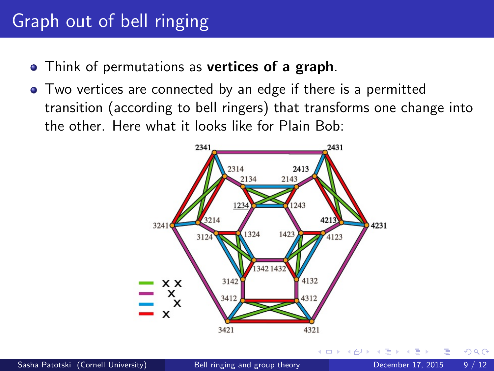# Graph out of bell ringing

- Think of permutations as vertices of a graph.
- Two vertices are connected by an edge if there is a permitted transition (according to bell ringers) that transforms one change into the other. Here what it looks like for Plain Bob:

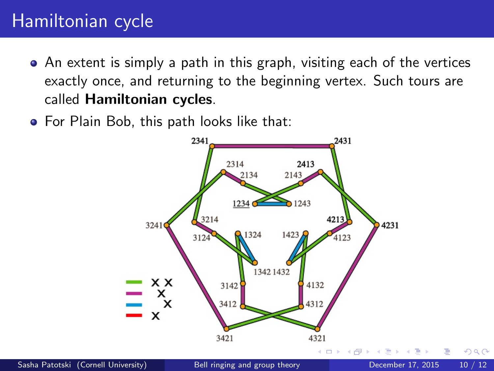## Hamiltonian cycle

- An extent is simply a path in this graph, visiting each of the vertices exactly once, and returning to the beginning vertex. Such tours are called Hamiltonian cycles.
- **•** For Plain Bob, this path looks like that:

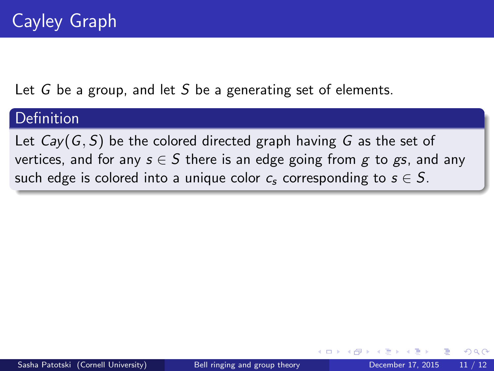#### Definition

Let  $Cav(G, S)$  be the colored directed graph having G as the set of vertices, and for any  $s \in S$  there is an edge going from g to gs, and any such edge is colored into a unique color  $c_s$  corresponding to  $s \in S$ .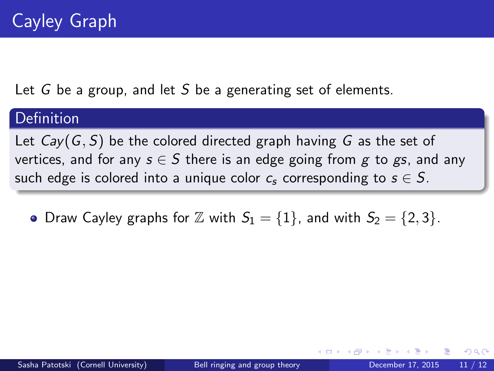#### **Definition**

Let  $Cav(G, S)$  be the colored directed graph having G as the set of vertices, and for any  $s \in S$  there is an edge going from g to gs, and any such edge is colored into a unique color  $c_s$  corresponding to  $s \in S$ .

• Draw Cayley graphs for  $\mathbb Z$  with  $S_1 = \{1\}$ , and with  $S_2 = \{2,3\}$ .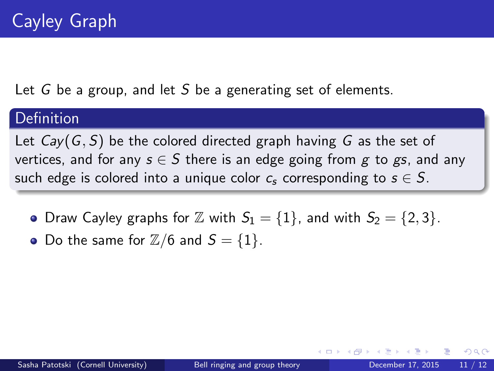#### Definition

Let  $Cav(G, S)$  be the colored directed graph having G as the set of vertices, and for any  $s \in S$  there is an edge going from g to gs, and any such edge is colored into a unique color  $c_s$  corresponding to  $s \in S$ .

- Draw Cayley graphs for  $\mathbb Z$  with  $S_1 = \{1\}$ , and with  $S_2 = \{2,3\}$ .
- Do the same for  $\mathbb{Z}/6$  and  $S = \{1\}$ .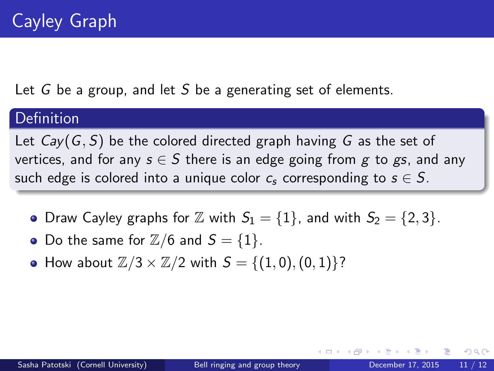#### Definition

Let  $Cav(G, S)$  be the colored directed graph having G as the set of vertices, and for any  $s \in S$  there is an edge going from g to gs, and any such edge is colored into a unique color  $c_s$  corresponding to  $s \in S$ .

- Draw Cayley graphs for  $\mathbb Z$  with  $S_1 = \{1\}$ , and with  $S_2 = \{2, 3\}$ .
- Do the same for  $\mathbb{Z}/6$  and  $S = \{1\}$ .
- How about  $\mathbb{Z}/3 \times \mathbb{Z}/2$  with  $S = \{(1, 0), (0, 1)\}$ ?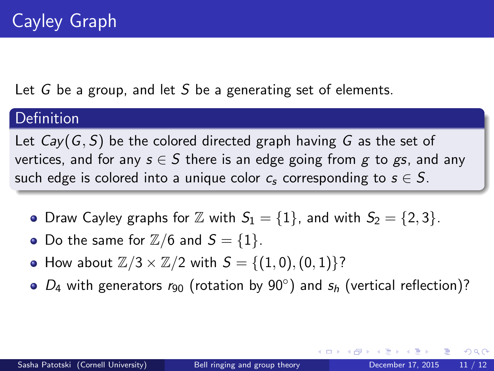#### Definition

Let  $Cav(G, S)$  be the colored directed graph having G as the set of vertices, and for any  $s \in S$  there is an edge going from g to gs, and any such edge is colored into a unique color  $c_s$  corresponding to  $s \in S$ .

- Draw Cayley graphs for  $\mathbb Z$  with  $S_1 = \{1\}$ , and with  $S_2 = \{2,3\}$ .
- Do the same for  $\mathbb{Z}/6$  and  $S = \{1\}$ .
- How about  $\mathbb{Z}/3 \times \mathbb{Z}/2$  with  $S = \{(1, 0), (0, 1)\}$ ?
- $D_4$  with generators  $r_{90}$  (rotation by 90 $^{\circ}$ ) and  $s_h$  (vertical reflection)?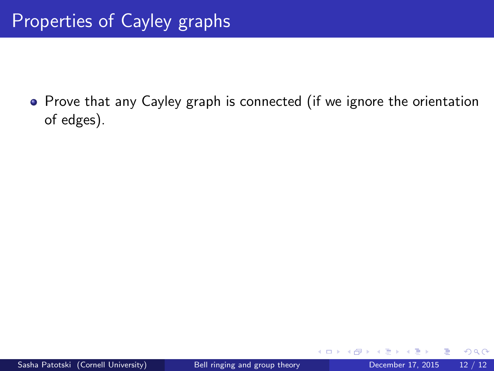• Prove that any Cayley graph is connected (if we ignore the orientation of edges).

4 0 8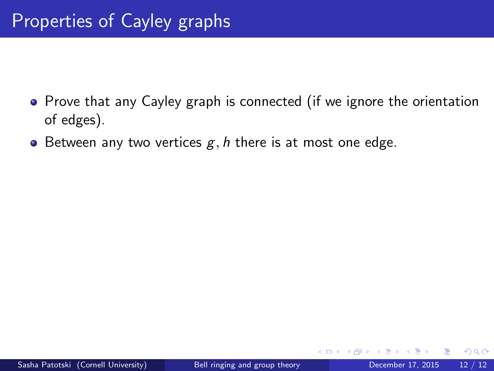- Prove that any Cayley graph is connected (if we ignore the orientation of edges).
- Between any two vertices  $g, h$  there is at most one edge.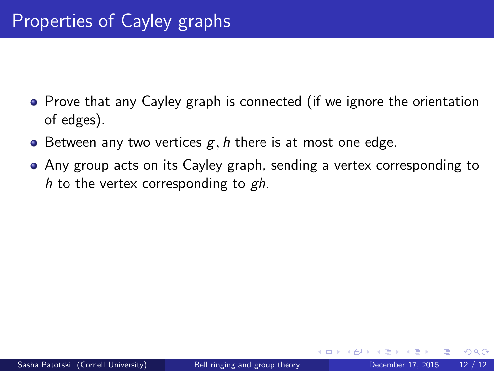- Prove that any Cayley graph is connected (if we ignore the orientation of edges).
- **•** Between any two vertices  $g, h$  there is at most one edge.
- Any group acts on its Cayley graph, sending a vertex corresponding to h to the vertex corresponding to  $gh$ .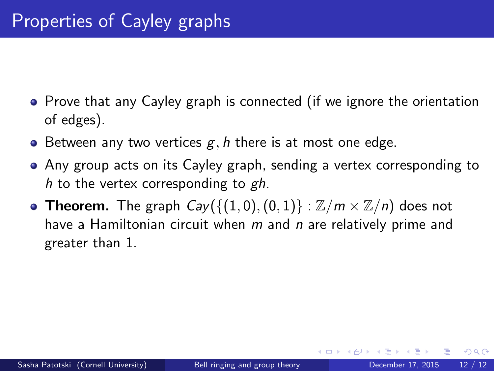- Prove that any Cayley graph is connected (if we ignore the orientation of edges).
- **•** Between any two vertices  $g, h$  there is at most one edge.
- Any group acts on its Cayley graph, sending a vertex corresponding to h to the vertex corresponding to  $gh$ .
- Theorem. The graph  $Cay({(1, 0), (0, 1)} : \mathbb{Z}/m \times \mathbb{Z}/n)$  does not have a Hamiltonian circuit when  $m$  and  $n$  are relatively prime and greater than 1.